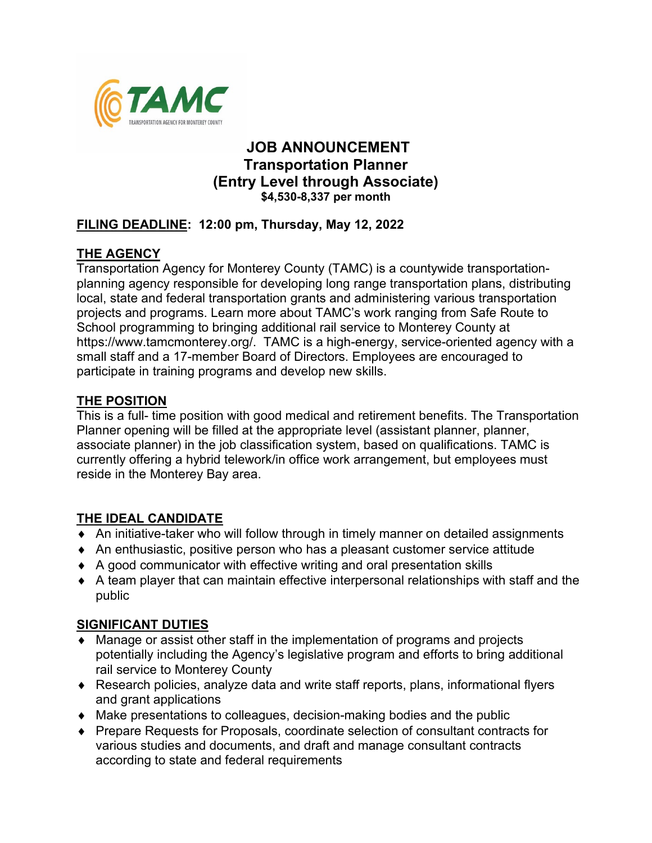

## **JOB ANNOUNCEMENT Transportation Planner (Entry Level through Associate) \$4,530-8,337 per month**

### **FILING DEADLINE: 12:00 pm, Thursday, May 12, 2022**

## **THE AGENCY**

Transportation Agency for Monterey County (TAMC) is a countywide transportationplanning agency responsible for developing long range transportation plans, distributing local, state and federal transportation grants and administering various transportation projects and programs. Learn more about TAMC's work ranging from Safe Route to School programming to bringing additional rail service to Monterey County at https://www.tamcmonterey.org/. TAMC is a high-energy, service-oriented agency with a small staff and a 17-member Board of Directors. Employees are encouraged to participate in training programs and develop new skills.

### **THE POSITION**

This is a full- time position with good medical and retirement benefits. The Transportation Planner opening will be filled at the appropriate level (assistant planner, planner, associate planner) in the job classification system, based on qualifications. TAMC is currently offering a hybrid telework/in office work arrangement, but employees must reside in the Monterey Bay area.

## **THE IDEAL CANDIDATE**

- ♦ An initiative-taker who will follow through in timely manner on detailed assignments
- ♦ An enthusiastic, positive person who has a pleasant customer service attitude
- ♦ A good communicator with effective writing and oral presentation skills
- $\bullet$  A team player that can maintain effective interpersonal relationships with staff and the public

#### **SIGNIFICANT DUTIES**

- ♦ Manage or assist other staff in the implementation of programs and projects potentially including the Agency's legislative program and efforts to bring additional rail service to Monterey County
- ♦ Research policies, analyze data and write staff reports, plans, informational flyers and grant applications
- ♦ Make presentations to colleagues, decision-making bodies and the public
- ♦ Prepare Requests for Proposals, coordinate selection of consultant contracts for various studies and documents, and draft and manage consultant contracts according to state and federal requirements